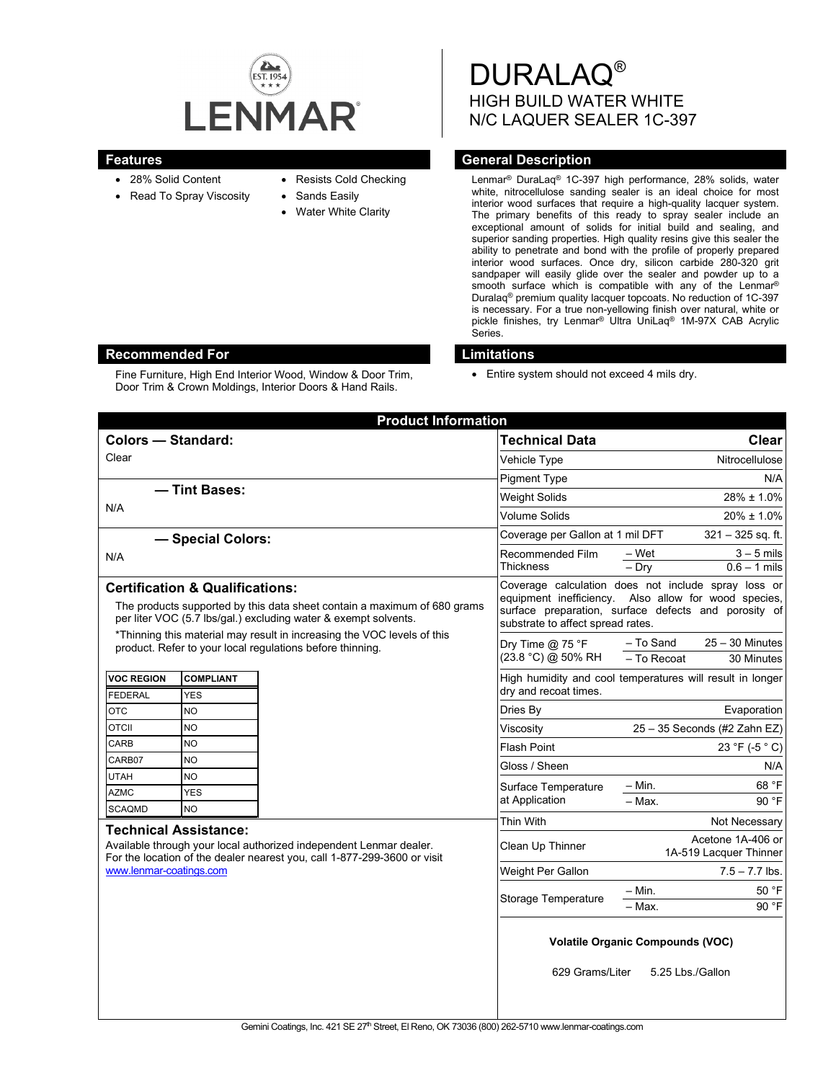

- 28% Solid Content
- Read To Spray Viscosity
- Resists Cold Checking
- Sands Easily
- **Water White Clarity**

DURALAQ® HIGH BUILD WATER WHITE N/C LAQUER SEALER 1C-397

## **Features General Description**

Lenmar® DuraLaq® 1C-397 high performance, 28% solids, water white, nitrocellulose sanding sealer is an ideal choice for most interior wood surfaces that require a high-quality lacquer system. The primary benefits of this ready to spray sealer include an exceptional amount of solids for initial build and sealing, and superior sanding properties. High quality resins give this sealer the ability to penetrate and bond with the profile of properly prepared interior wood surfaces. Once dry, silicon carbide 280-320 grit sandpaper will easily glide over the sealer and powder up to a smooth surface which is compatible with any of the Lenmar® Duralaq® premium quality lacquer topcoats. No reduction of 1C-397 is necessary. For a true non-yellowing finish over natural, white or pickle finishes, try Lenmar® Ultra UniLaq® 1M-97X CAB Acrylic Series.

# **Recommended For Limitations**

Fine Furniture, High End Interior Wood, Window & Door Trim, Door Trim & Crown Moldings, Interior Doors & Hand Rails.

• Entire system should not exceed 4 mils dry.

| <b>Product Information</b>                                                                                                                                                                                                                                           |  |                                                                                                                                                                                                          |                              |                                             |
|----------------------------------------------------------------------------------------------------------------------------------------------------------------------------------------------------------------------------------------------------------------------|--|----------------------------------------------------------------------------------------------------------------------------------------------------------------------------------------------------------|------------------------------|---------------------------------------------|
| Colors - Standard:                                                                                                                                                                                                                                                   |  | <b>Technical Data</b>                                                                                                                                                                                    | Clear                        |                                             |
| Clear                                                                                                                                                                                                                                                                |  | Vehicle Type                                                                                                                                                                                             | Nitrocellulose               |                                             |
|                                                                                                                                                                                                                                                                      |  | <b>Pigment Type</b>                                                                                                                                                                                      | N/A                          |                                             |
| - Tint Bases:<br>N/A                                                                                                                                                                                                                                                 |  | <b>Weight Solids</b>                                                                                                                                                                                     | 28% ± 1.0%                   |                                             |
|                                                                                                                                                                                                                                                                      |  | Volume Solids                                                                                                                                                                                            | $20\% \pm 1.0\%$             |                                             |
| - Special Colors:                                                                                                                                                                                                                                                    |  | Coverage per Gallon at 1 mil DFT                                                                                                                                                                         | $321 - 325$ sq. ft.          |                                             |
| N/A                                                                                                                                                                                                                                                                  |  | Recommended Film                                                                                                                                                                                         | – Wet                        | $3 - 5$ mils                                |
|                                                                                                                                                                                                                                                                      |  | <b>Thickness</b>                                                                                                                                                                                         | $-$ Dry                      | $0.6 - 1$ mils                              |
| <b>Certification &amp; Qualifications:</b><br>The products supported by this data sheet contain a maximum of 680 grams<br>per liter VOC (5.7 lbs/gal.) excluding water & exempt solvents.<br>*Thinning this material may result in increasing the VOC levels of this |  | Coverage calculation does not include spray loss or<br>equipment inefficiency. Also allow for wood species,<br>surface preparation, surface defects and porosity of<br>substrate to affect spread rates. |                              |                                             |
| product. Refer to your local regulations before thinning.                                                                                                                                                                                                            |  | Dry Time $@$ 75 °F<br>(23.8 °C) @ 50% RH                                                                                                                                                                 | - To Sand<br>$-$ To Recoat   | $25 - 30$ Minutes<br>30 Minutes             |
| <b>VOC REGION</b><br><b>COMPLIANT</b><br><b>FEDERAL</b><br>YES                                                                                                                                                                                                       |  | High humidity and cool temperatures will result in longer<br>dry and recoat times.                                                                                                                       |                              |                                             |
| <b>OTC</b><br><b>NO</b>                                                                                                                                                                                                                                              |  | Dries By                                                                                                                                                                                                 |                              | Evaporation                                 |
| <b>OTCII</b><br><b>NO</b>                                                                                                                                                                                                                                            |  | Viscosity                                                                                                                                                                                                | 25 - 35 Seconds (#2 Zahn EZ) |                                             |
| CARB<br><b>NO</b>                                                                                                                                                                                                                                                    |  | <b>Flash Point</b>                                                                                                                                                                                       |                              | 23 °F (-5 °C)                               |
| <b>NO</b><br>CARB07                                                                                                                                                                                                                                                  |  | Gloss / Sheen                                                                                                                                                                                            |                              | N/A                                         |
| <b>UTAH</b><br><b>NO</b>                                                                                                                                                                                                                                             |  | Surface Temperature                                                                                                                                                                                      | – Min.                       | 68 °F                                       |
| <b>YES</b><br><b>AZMC</b><br><b>SCAQMD</b><br><b>NO</b>                                                                                                                                                                                                              |  | at Application                                                                                                                                                                                           | $-$ Max.                     | 90 °F                                       |
|                                                                                                                                                                                                                                                                      |  | Thin With                                                                                                                                                                                                |                              | Not Necessary                               |
| <b>Technical Assistance:</b><br>Available through your local authorized independent Lenmar dealer.<br>For the location of the dealer nearest you, call 1-877-299-3600 or visit<br>www.lenmar-coatings.com                                                            |  | Clean Up Thinner                                                                                                                                                                                         |                              | Acetone 1A-406 or<br>1A-519 Lacquer Thinner |
|                                                                                                                                                                                                                                                                      |  | Weight Per Gallon                                                                                                                                                                                        |                              | $7.5 - 7.7$ lbs.                            |
|                                                                                                                                                                                                                                                                      |  | <b>Storage Temperature</b>                                                                                                                                                                               | $-$ Min.<br>- Max.           | 50 °F<br>90 °F                              |
|                                                                                                                                                                                                                                                                      |  | <b>Volatile Organic Compounds (VOC)</b><br>629 Grams/Liter<br>5.25 Lbs./Gallon                                                                                                                           |                              |                                             |